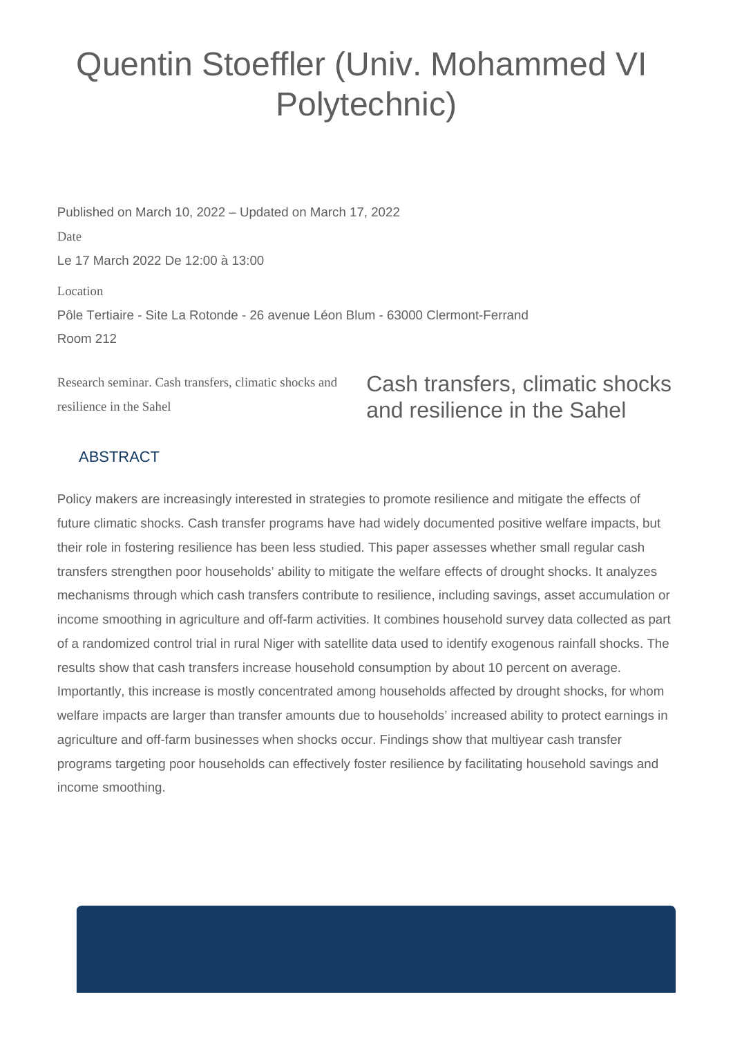## Quentin Stoeffler (Univ. Mohammed VI Polytechnic)

Published on March 10, 2022 – Updated on March 17, 2022 Date Le 17 March 2022 De 12:00 à 13:00 Location Pôle Tertiaire - Site La Rotonde - 26 avenue Léon Blum - 63000 Clermont-Ferrand Room 212

Research seminar. Cash transfers, climatic shocks and resilience in the Sahel

## Cash transfers, climatic shocks and resilience in the Sahel

## ABSTRACT

Policy makers are increasingly interested in strategies to promote resilience and mitigate the effects of future climatic shocks. Cash transfer programs have had widely documented positive welfare impacts, but their role in fostering resilience has been less studied. This paper assesses whether small regular cash transfers strengthen poor households' ability to mitigate the welfare effects of drought shocks. It analyzes mechanisms through which cash transfers contribute to resilience, including savings, asset accumulation or income smoothing in agriculture and off-farm activities. It combines household survey data collected as part of a randomized control trial in rural Niger with satellite data used to identify exogenous rainfall shocks. The results show that cash transfers increase household consumption by about 10 percent on average. Importantly, this increase is mostly concentrated among households affected by drought shocks, for whom welfare impacts are larger than transfer amounts due to households' increased ability to protect earnings in agriculture and off-farm businesses when shocks occur. Findings show that multiyear cash transfer programs targeting poor households can effectively foster resilience by facilitating household savings and income smoothing.